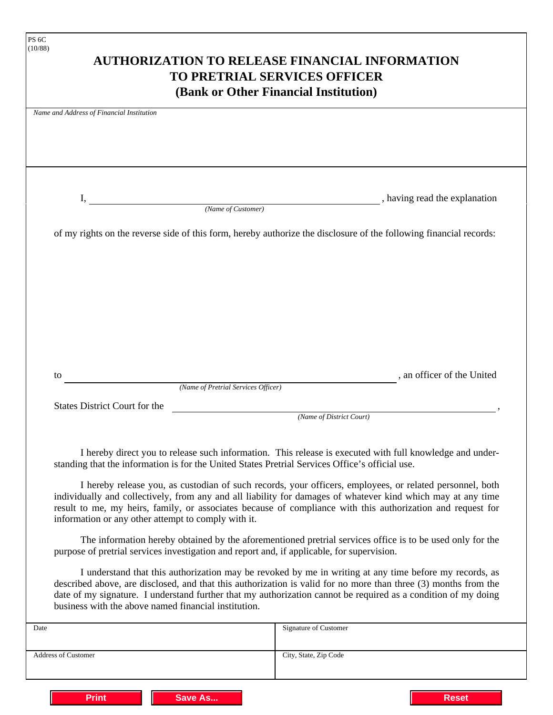|                                                      | <b>AUTHORIZATION TO RELEASE FINANCIAL INFORMATION</b><br><b>TO PRETRIAL SERVICES OFFICER</b>                                                                                                                                                                                                                                                |                               |
|------------------------------------------------------|---------------------------------------------------------------------------------------------------------------------------------------------------------------------------------------------------------------------------------------------------------------------------------------------------------------------------------------------|-------------------------------|
|                                                      | (Bank or Other Financial Institution)                                                                                                                                                                                                                                                                                                       |                               |
| Name and Address of Financial Institution            |                                                                                                                                                                                                                                                                                                                                             |                               |
|                                                      |                                                                                                                                                                                                                                                                                                                                             |                               |
|                                                      |                                                                                                                                                                                                                                                                                                                                             |                               |
|                                                      |                                                                                                                                                                                                                                                                                                                                             |                               |
|                                                      |                                                                                                                                                                                                                                                                                                                                             |                               |
| Ι,                                                   |                                                                                                                                                                                                                                                                                                                                             | , having read the explanation |
|                                                      | (Name of Customer)                                                                                                                                                                                                                                                                                                                          |                               |
|                                                      | of my rights on the reverse side of this form, hereby authorize the disclosure of the following financial records:                                                                                                                                                                                                                          |                               |
|                                                      |                                                                                                                                                                                                                                                                                                                                             |                               |
|                                                      |                                                                                                                                                                                                                                                                                                                                             |                               |
|                                                      |                                                                                                                                                                                                                                                                                                                                             |                               |
|                                                      |                                                                                                                                                                                                                                                                                                                                             |                               |
|                                                      |                                                                                                                                                                                                                                                                                                                                             |                               |
|                                                      |                                                                                                                                                                                                                                                                                                                                             |                               |
|                                                      |                                                                                                                                                                                                                                                                                                                                             |                               |
|                                                      |                                                                                                                                                                                                                                                                                                                                             |                               |
|                                                      |                                                                                                                                                                                                                                                                                                                                             |                               |
| to                                                   | (Name of Pretrial Services Officer)                                                                                                                                                                                                                                                                                                         | , an officer of the United    |
| <b>States District Court for the</b>                 |                                                                                                                                                                                                                                                                                                                                             |                               |
|                                                      | (Name of District Court)                                                                                                                                                                                                                                                                                                                    |                               |
|                                                      |                                                                                                                                                                                                                                                                                                                                             |                               |
|                                                      | I hereby direct you to release such information. This release is executed with full knowledge and under-<br>standing that the information is for the United States Pretrial Services Office's official use.                                                                                                                                 |                               |
| information or any other attempt to comply with it.  | I hereby release you, as custodian of such records, your officers, employees, or related personnel, both<br>individually and collectively, from any and all liability for damages of whatever kind which may at any time<br>result to me, my heirs, family, or associates because of compliance with this authorization and request for     |                               |
|                                                      | The information hereby obtained by the aforementioned pretrial services office is to be used only for the<br>purpose of pretrial services investigation and report and, if applicable, for supervision.                                                                                                                                     |                               |
| business with the above named financial institution. | I understand that this authorization may be revoked by me in writing at any time before my records, as<br>described above, are disclosed, and that this authorization is valid for no more than three (3) months from the<br>date of my signature. I understand further that my authorization cannot be required as a condition of my doing |                               |
|                                                      | Signature of Customer                                                                                                                                                                                                                                                                                                                       |                               |
|                                                      |                                                                                                                                                                                                                                                                                                                                             |                               |

**Print Save As... Reset**